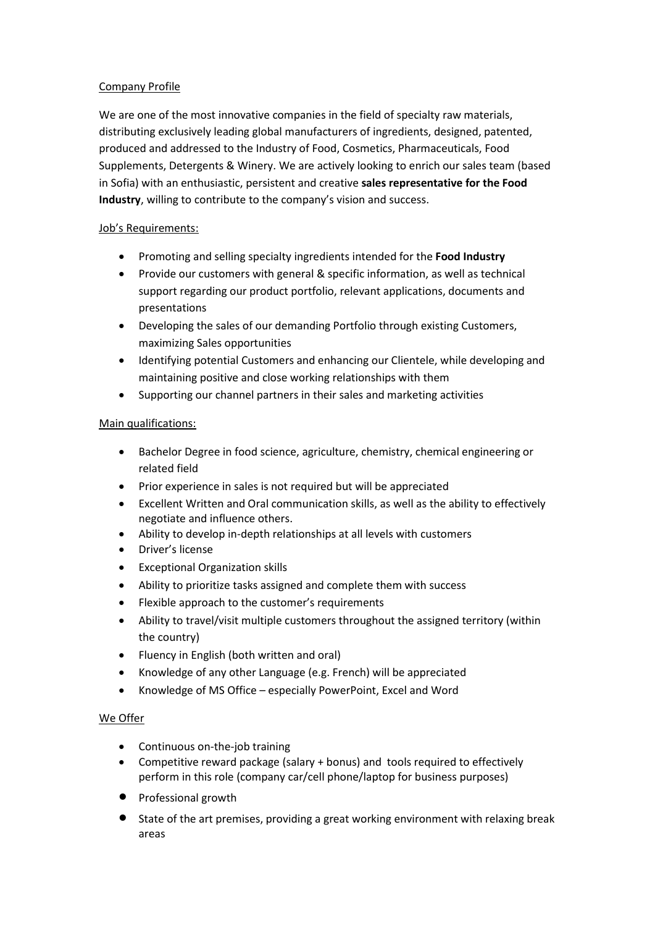## Company Profile

We are one of the most innovative companies in the field of specialty raw materials, distributing exclusively leading global manufacturers of ingredients, designed, patented, produced and addressed to the Industry of Food, Cosmetics, Pharmaceuticals, Food Supplements, Detergents & Winery. We are actively looking to enrich our sales team (based in Sofia) with an enthusiastic, persistent and creative **sales representative for the Food Industry**, willing to contribute to the company's vision and success.

## Job's Requirements:

- Promoting and selling specialty ingredients intended for the **Food Industry**
- Provide our customers with general & specific information, as well as technical support regarding our product portfolio, relevant applications, documents and presentations
- Developing the sales of our demanding Portfolio through existing Customers, maximizing Sales opportunities
- Identifying potential Customers and enhancing our Clientele, while developing and maintaining positive and close working relationships with them
- Supporting our channel partners in their sales and marketing activities

## Main qualifications:

- Bachelor Degree in food science, agriculture, chemistry, chemical engineering or related field
- Prior experience in sales is not required but will be appreciated
- Excellent Written and Oral communication skills, as well as the ability to effectively negotiate and influence others.
- Ability to develop in-depth relationships at all levels with customers
- Driver's license
- Exceptional Organization skills
- Ability to prioritize tasks assigned and complete them with success
- Flexible approach to the customer's requirements
- Ability to travel/visit multiple customers throughout the assigned territory (within the country)
- Fluency in English (both written and oral)
- Knowledge of any other Language (e.g. French) will be appreciated
- Knowledge of MS Office especially PowerPoint, Excel and Word

## We Offer

- Continuous on-the-job training
- Competitive reward package (salary + bonus) and tools required to effectively perform in this role (company car/cell phone/laptop for business purposes)
- Professional growth
- State of the art premises, providing a great working environment with relaxing break areas